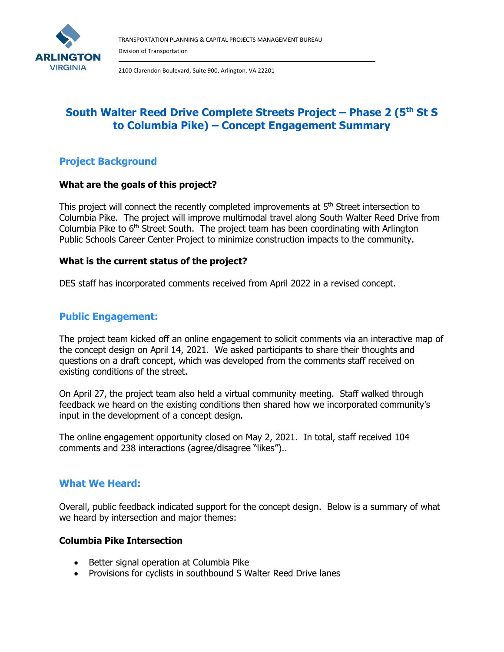

2100 Clarendon Boulevard, Suite 900, Arlington, VA 22201

# **South Walter Reed Drive Complete Streets Project – Phase 2 (5th St S to Columbia Pike) – Concept Engagement Summary**

## **Project Background**

## **What are the goals of this project?**

This project will connect the recently completed improvements at  $5<sup>th</sup>$  Street intersection to Columbia Pike. The project will improve multimodal travel along South Walter Reed Drive from Columbia Pike to  $6<sup>th</sup>$  Street South. The project team has been coordinating with Arlington Public Schools Career Center Project to minimize construction impacts to the community.

## **What is the current status of the project?**

DES staff has incorporated comments received from April 2022 in a revised concept.

## **Public Engagement:**

The project team kicked off an online engagement to solicit comments via an interactive map of the concept design on April 14, 2021. We asked participants to share their thoughts and questions on a draft concept, which was developed from the comments staff received on existing conditions of the street.

On April 27, the project team also held a virtual community meeting. Staff walked through feedback we heard on the existing conditions then shared how we incorporated community's input in the development of a concept design.

The online engagement opportunity closed on May 2, 2021. In total, staff received 104 comments and 238 interactions (agree/disagree "likes")..

## **What We Heard:**

Overall, public feedback indicated support for the concept design. Below is a summary of what we heard by intersection and major themes:

## **Columbia Pike Intersection**

- Better signal operation at Columbia Pike
- Provisions for cyclists in southbound S Walter Reed Drive lanes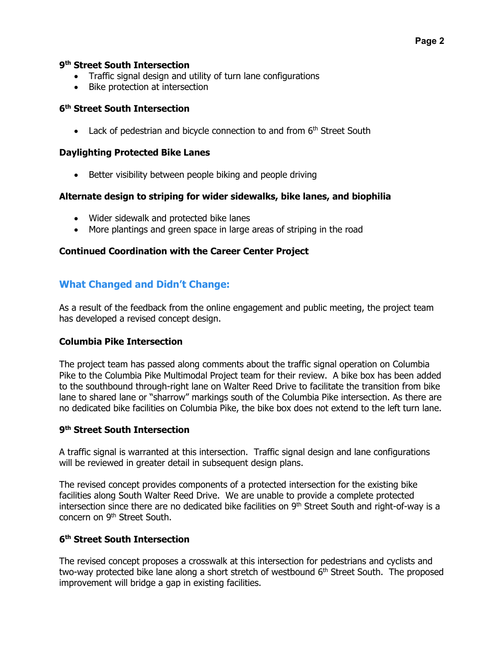#### **9th Street South Intersection**

- Traffic signal design and utility of turn lane configurations
- Bike protection at intersection

#### **6th Street South Intersection**

• Lack of pedestrian and bicycle connection to and from  $6<sup>th</sup>$  Street South

#### **Daylighting Protected Bike Lanes**

• Better visibility between people biking and people driving

#### **Alternate design to striping for wider sidewalks, bike lanes, and biophilia**

- Wider sidewalk and protected bike lanes
- More plantings and green space in large areas of striping in the road

#### **Continued Coordination with the Career Center Project**

## **What Changed and Didn't Change:**

As a result of the feedback from the online engagement and public meeting, the project team has developed a revised concept design.

#### **Columbia Pike Intersection**

The project team has passed along comments about the traffic signal operation on Columbia Pike to the Columbia Pike Multimodal Project team for their review. A bike box has been added to the southbound through-right lane on Walter Reed Drive to facilitate the transition from bike lane to shared lane or "sharrow" markings south of the Columbia Pike intersection. As there are no dedicated bike facilities on Columbia Pike, the bike box does not extend to the left turn lane.

#### **9th Street South Intersection**

A traffic signal is warranted at this intersection. Traffic signal design and lane configurations will be reviewed in greater detail in subsequent design plans.

The revised concept provides components of a protected intersection for the existing bike facilities along South Walter Reed Drive. We are unable to provide a complete protected intersection since there are no dedicated bike facilities on 9<sup>th</sup> Street South and right-of-way is a concern on 9th Street South.

## **6th Street South Intersection**

The revised concept proposes a crosswalk at this intersection for pedestrians and cyclists and two-way protected bike lane along a short stretch of westbound  $6<sup>th</sup>$  Street South. The proposed improvement will bridge a gap in existing facilities.